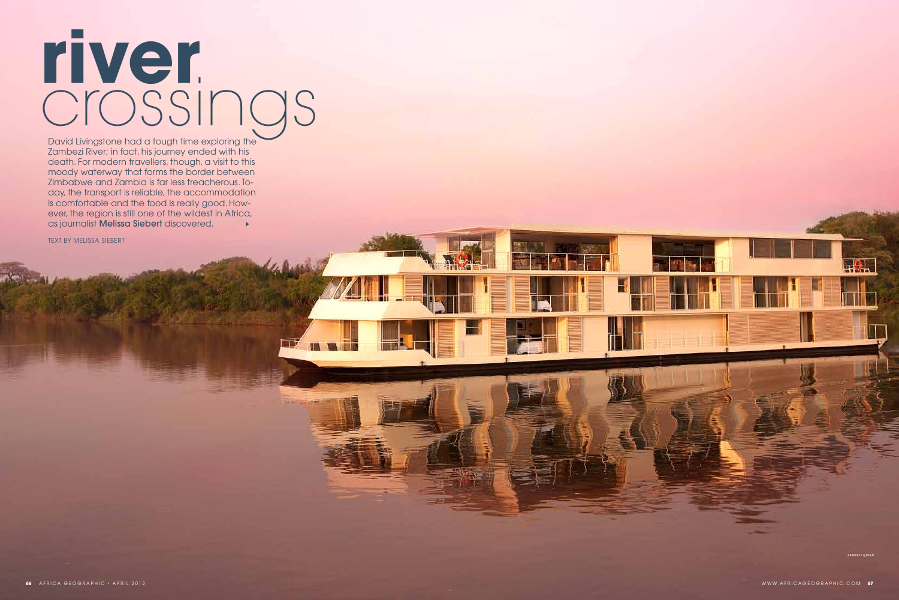David Livingstone had a tough time exploring the Zambezi River; in fact, his journey ended with his death. For modern travellers, though, a visit to this moody waterway that forms the border between Zimbabwe and Zambia is far less treacherous. Today, the transport is reliable, the accommodation is comfortable and the food is really good. However, the region is still one of the wildest in Africa, as journalist Melissa Siebert discovered.  $\mathbf{r}$ 

TEXT BY MELISSA SIEBERT

## **river** crossings

*zambezi queen*

 $\Box$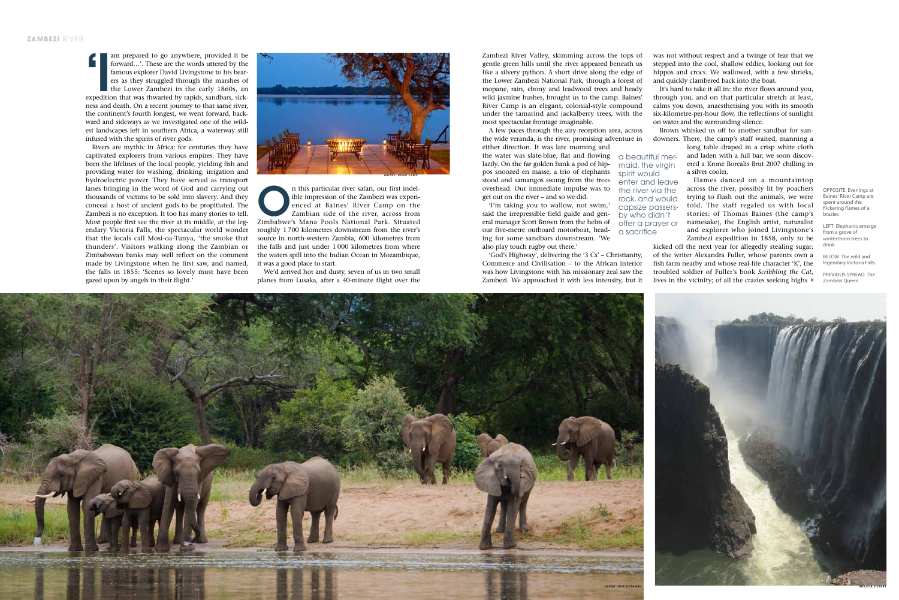am prepared to go anywhere, provided it be<br>forward...'. These are the words uttered by the<br>famous explorer David Livingstone to his bear-<br>ers as they struggled through the marshes of<br>the Lower Zambezi in the early 1860s, a am prepared to go anywhere, provided it be forward…'. These are the words uttered by the famous explorer David Livingstone to his bearers as they struggled through the marshes of the Lower Zambezi in the early 1860s, an ness and death. On a recent journey to that same river, the continent's fourth longest, we went forward, backward and sideways as we investigated one of the wildest landscapes left in southern Africa, a waterway still infused with the spirits of river gods.

> n this particular river safari, our first indel-<br>
> ible impression of the Zambezi was experienced at Baines' River Camp on the<br>
> Zambian side of the river, across from<br>
> Zimbabwe's Mana Pools National Park. Situated ible impression of the Zambezi was experienced at Baines' River Camp on the Zambian side of the river, across from roughly 1 700 kilometres downstream from the river's source in north-western Zambia, 600 kilometres from the falls and just under 1 000 kilometres from where the waters spill into the Indian Ocean in Mozambique, it was a good place to start.

Rivers are mythic in Africa; for centuries they have captivated explorers from various empires. They have been the lifelines of the local people, yielding fish and providing water for washing, drinking, irrigation and hydroelectric power. They have served as transport lanes bringing in the word of God and carrying out thousands of victims to be sold into slavery. And they conceal a host of ancient gods to be propitiated. The Zambezi is no exception. It too has many stories to tell. Most people first see the river at its middle, at the legendary Victoria Falls, the spectacular world wonder that the locals call Mosi-oa-Tunya, 'the smoke that thunders'. Visitors walking along the Zambian or Zimbabwean banks may well reflect on the comment made by Livingstone when he first saw, and named, the falls in 1855: 'Scenes so lovely must have been gazed upon by angels in their flight.'



We'd arrived hot and dusty, seven of us in two small planes from Lusaka, after a 40-minute flight over the OPPOSITE Evenings at Baines' River Camp are spent around the flickering flames of a brazier.

LEFT Elephants emerge from a grove of winterthorn trees to drink.

BELOW The wild and legendary Victoria Falls.

PREVIOUS SPREAD The Zambezi Queen.



Zambezi River Valley, skimming across the tops of gentle green hills until the river appeared beneath us like a silvery python. A short drive along the edge of the Lower Zambezi National Park, through a forest of mopane, rain, ebony and leadwood trees and heady wild jasmine bushes, brought us to the camp. Baines' River Camp is an elegant, colonial-style compound under the tamarind and jackalberry trees, with the most spectacular frontage imaginable.

A few paces through the airy reception area, across the wide veranda, is the river, promising adventure in either direction. It was late morning and

the water was slate-blue, flat and flowing lazily. On the far golden bank a pod of hippos snoozed en masse, a trio of elephants stood and samangos swung from the trees overhead. Our immediate impulse was to get out on the river – and so we did.

'I'm taking you to wallow, not swim,' said the irrepressible field guide and general manager Scott Brown from the helm of our five-metre outboard motorboat, heading for some sandbars downstream. 'We also play touch rugby out there.'

'God's Highway', delivering the '3 Cs' – Christianity, Commerce and Civilisation – to the African interior was how Livingstone with his missionary zeal saw the Zambezi. We approached it with less intensity, but it was not without respect and a twinge of fear that we stepped into the cool, shallow eddies, looking out for hippos and crocs. We wallowed, with a few shrieks, and quickly clambered back into the boat.

It's hard to take it all in: the river flows around you, through you, and on that particular stretch at least, calms you down, anaesthetising you with its smooth six-kilometre-per-hour flow, the reflections of sunlight on water and the surrounding silence.

Brown whisked us off to another sandbar for sundowners. There, the camp's staff waited, manning a

long table draped in a crisp white cloth and laden with a full bar; we soon discovered a Krone Borealis Brut 2007 chilling in a silver cooler.

Flames danced on a mountaintop across the river, possibly lit by poachers trying to flush out the animals, we were told. The staff regaled us with local stories: of Thomas Baines (the camp's namesake), the English artist, naturalist and explorer who joined Livingstone's Zambezi expedition in 1858, only to be

kicked off the next year for allegedly stealing sugar; of the writer Alexandra Fuller, whose parents own a fish farm nearby and whose real-life character 'K', the troubled soldier of Fuller's book *Scribbling the Cat*, lives in the vicinity; of all the crazies seeking highs

a beautiful mermaid, the virgin spirit would enter and leave the river via the rock, and would capsize passersby who didn't offer a prayer or

a sacrifice

*baines' river camp*